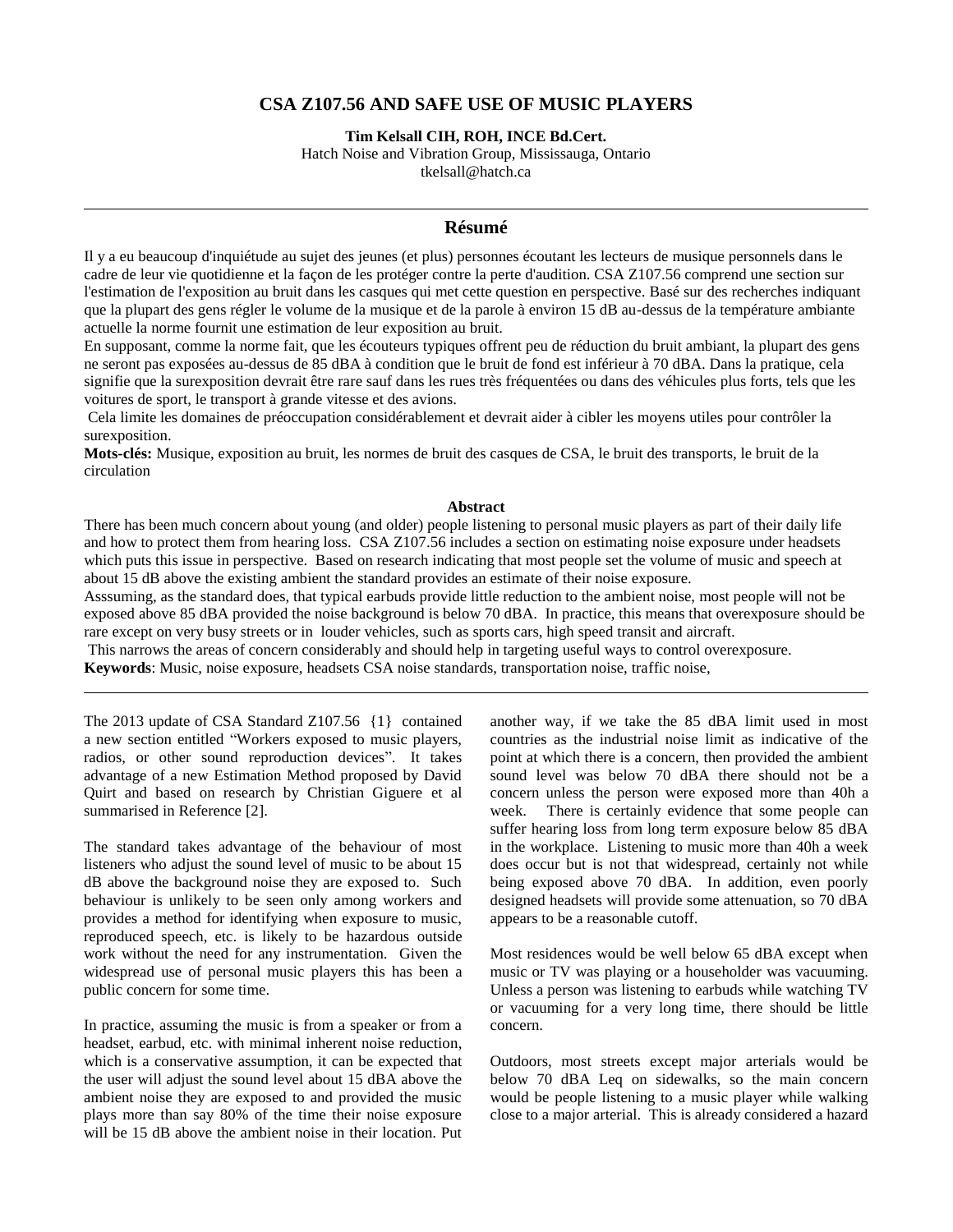## **CSA Z107.56 AND SAFE USE OF MUSIC PLAYERS**

**Tim Kelsall CIH, ROH, INCE Bd.Cert.**

Hatch Noise and Vibration Group, Mississauga, Ontario tkelsall@hatch.ca

## **Résumé**

Il y a eu beaucoup d'inquiétude au sujet des jeunes (et plus) personnes écoutant les lecteurs de musique personnels dans le cadre de leur vie quotidienne et la façon de les protéger contre la perte d'audition. CSA Z107.56 comprend une section sur l'estimation de l'exposition au bruit dans les casques qui met cette question en perspective. Basé sur des recherches indiquant que la plupart des gens régler le volume de la musique et de la parole à environ 15 dB au-dessus de la température ambiante actuelle la norme fournit une estimation de leur exposition au bruit.

En supposant, comme la norme fait, que les écouteurs typiques offrent peu de réduction du bruit ambiant, la plupart des gens ne seront pas exposées au-dessus de 85 dBA à condition que le bruit de fond est inférieur à 70 dBA. Dans la pratique, cela signifie que la surexposition devrait être rare sauf dans les rues très fréquentées ou dans des véhicules plus forts, tels que les voitures de sport, le transport à grande vitesse et des avions.

Cela limite les domaines de préoccupation considérablement et devrait aider à cibler les moyens utiles pour contrôler la surexposition.

**Mots-clés:** Musique, exposition au bruit, les normes de bruit des casques de CSA, le bruit des transports, le bruit de la circulation

## **Abstract**

There has been much concern about young (and older) people listening to personal music players as part of their daily life and how to protect them from hearing loss. CSA Z107.56 includes a section on estimating noise exposure under headsets which puts this issue in perspective. Based on research indicating that most people set the volume of music and speech at about 15 dB above the existing ambient the standard provides an estimate of their noise exposure.

Asssuming, as the standard does, that typical earbuds provide little reduction to the ambient noise, most people will not be exposed above 85 dBA provided the noise background is below 70 dBA. In practice, this means that overexposure should be rare except on very busy streets or in louder vehicles, such as sports cars, high speed transit and aircraft.

This narrows the areas of concern considerably and should help in targeting useful ways to control overexposure.

**Keywords**: Music, noise exposure, headsets CSA noise standards, transportation noise, traffic noise,

The 2013 update of CSA Standard Z107.56 {1} contained a new section entitled "Workers exposed to music players, radios, or other sound reproduction devices". It takes advantage of a new Estimation Method proposed by David Quirt and based on research by Christian Giguere et al summarised in Reference [2].

The standard takes advantage of the behaviour of most listeners who adjust the sound level of music to be about 15 dB above the background noise they are exposed to. Such behaviour is unlikely to be seen only among workers and provides a method for identifying when exposure to music, reproduced speech, etc. is likely to be hazardous outside work without the need for any instrumentation. Given the widespread use of personal music players this has been a public concern for some time.

In practice, assuming the music is from a speaker or from a headset, earbud, etc. with minimal inherent noise reduction, which is a conservative assumption, it can be expected that the user will adjust the sound level about 15 dBA above the ambient noise they are exposed to and provided the music plays more than say 80% of the time their noise exposure will be 15 dB above the ambient noise in their location. Put

another way, if we take the 85 dBA limit used in most countries as the industrial noise limit as indicative of the point at which there is a concern, then provided the ambient sound level was below 70 dBA there should not be a concern unless the person were exposed more than 40h a week. There is certainly evidence that some people can suffer hearing loss from long term exposure below 85 dBA in the workplace. Listening to music more than 40h a week does occur but is not that widespread, certainly not while being exposed above 70 dBA. In addition, even poorly designed headsets will provide some attenuation, so 70 dBA appears to be a reasonable cutoff.

Most residences would be well below 65 dBA except when music or TV was playing or a householder was vacuuming. Unless a person was listening to earbuds while watching TV or vacuuming for a very long time, there should be little concern.

Outdoors, most streets except major arterials would be below 70 dBA Leq on sidewalks, so the main concern would be people listening to a music player while walking close to a major arterial. This is already considered a hazard